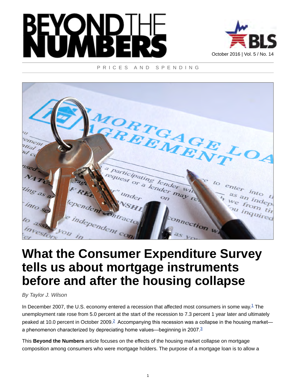



#### PRICES AND SPENDING



# **What the Consumer Expenditure Survey tells us about mortgage instruments before and after the housing collapse**

*By Taylor J. Wilson*

<span id="page-0-1"></span><span id="page-0-0"></span>In December 2007, the U.S. economy entered a recession that affected most consumers in some way. $1$  The unemployment rate rose from 5.0 percent at the start of the recession to 7.3 percent 1 year later and ultimately peaked at 10.0 percent in October [2](#page-6-1)009.<sup>2</sup> Accompanying this recession was a collapse in the housing market— a phenomenon characterized by depreciating home values—beginning in 2007.<sup>[3](#page-6-2)</sup>

<span id="page-0-2"></span>This **Beyond the Numbers** article focuses on the effects of the housing market collapse on mortgage composition among consumers who were mortgage holders. The purpose of a mortgage loan is to allow a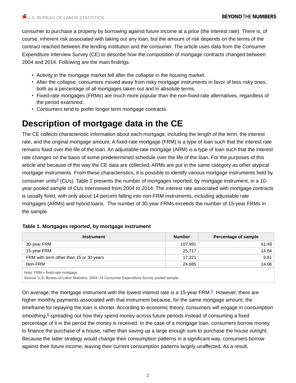consumer to purchase a property by borrowing against future income at a price (the interest rate). There is, of course, inherent risk associated with taking out any loan, but the amount of risk depends on the terms of the contract reached between the lending institution and the consumer. The article uses data from the Consumer Expenditure Interview Survey (CE) to describe how the composition of mortgage contracts changed between 2004 and 2014. Following are the main findings:

- Activity in the mortgage market fell after the collapse in the housing market.
- After the collapse, consumers moved away from risky mortgage instruments in favor of less risky ones, both as a percentage of all mortgages taken out and in absolute terms.
- Fixed-rate mortgages (FRMs) are much more popular than the non-fixed-rate alternatives, regardless of the period examined.
- Consumers tend to prefer longer term mortgage contracts.

### **Description of mortgage data in the CE**

<span id="page-1-0"></span>The CE collects characteristic information about each mortgage, including the length of the term, the interest rate, and the original mortgage amount. A fixed-rate mortgage (FRM) is a type of loan such that the interest rate remains fixed over the life of the loan. An adjustable-rate mortgage (ARM) is a type of loan such that the interest rate changes on the basis of some predetermined schedule over the life of the loan. For the purposes of this article and because of the way the CE data are collected, ARMs are put in the same category as other atypical mortgage instruments. From these characteristics, it is possible to identify various mortgage instruments held by consumer units $4$  (CUs). Table 1 presents the number of mortgages reported, by mortgage instrument, in a 10year pooled sample of CUs interviewed from 2004 to 2014. The interest rate associated with mortgage contracts is usually fixed, with only about 14 percent falling into non-FRM instruments, including adjustable rate mortgages (ARMs) and hybrid loans. The number of 30-year FRMs exceeds the number of 15-year FRMs in the sample.

| <b>Instrument</b>                       | <b>Number</b> | Percentage of sample |
|-----------------------------------------|---------------|----------------------|
| 30-year FRM                             | 107,991       | 61.49                |
| 15-year FRM                             | 25,717        | 14.64                |
| FRM with term other than 15 or 30 years | 17.221        | 9.81                 |
| Non-FRM                                 | 24,685        | 14.06                |
| Note: $FRM = fixed-rate mortgage$ .     |               |                      |

#### **Table 1. Mortgages reported, by mortgage instrument**

<span id="page-1-1"></span>Source: U.S. Bureau of Labor Statistics, 2004–14 Consumer Expenditure Survey pooled sample.

<span id="page-1-2"></span>On average, the mortgage instrument with the lowest interest rate is a 1[5](#page-6-4)-year FRM.<sup>5</sup> However, there are higher monthly payments associated with that instrument because, for the same mortgage amount, the timeframe for repaying the loan is shorter. According to economic theory, consumers will engage in *consumption smoothing*,<sup>[6](#page-6-5)</sup> spreading out how they spend money across future periods instead of consuming a fixed percentage of it in the period the money is received. In the case of a mortgage loan, consumers borrow money to finance the purchase of a house, rather than saving up a large enough sum to purchase the house outright. Because the latter strategy would change their consumption patterns in a significant way, consumers borrow against their future income, leaving their current consumption patterns largely unaffected. As a result,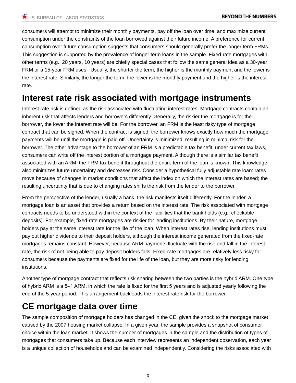consumers will attempt to minimize their monthly payments, pay off the loan over time, and maximize current consumption under the constraints of the loan borrowed against their future income. A preference for current consumption over future consumption suggests that consumers should generally prefer the longer term FRMs. This suggestion is supported by the prevalence of longer term loans in the sample. Fixed-rate mortgages with other terms (e.g., 20 years, 10 years) are chiefly special cases that follow the same general idea as a 30-year FRM or a 15-year FRM uses. Usually, the shorter the term, the higher is the monthly payment and the lower is the interest rate. Similarly, the longer the term, the lower is the monthly payment and the higher is the interest rate.

### **Interest rate risk associated with mortgage instruments**

Interest rate risk is defined as the risk associated with fluctuating interest rates. Mortgage contracts contain an inherent risk that affects lenders and borrowers differently. Generally, the riskier the mortgage is for the borrower, the lower the interest rate will be. For the borrower, an FRM is the least risky type of mortgage contract that can be signed. When the contract is signed, the borrower knows exactly how much the mortgage payments will be until the mortgage is paid off. Uncertainty is minimized, resulting in minimal risk for the borrower. The other advantage to the borrower of an FRM is a predictable tax benefit: under current tax laws, consumers can write off the interest portion of a mortgage payment. Although there is a similar tax benefit associated with an ARM, the FRM tax benefit throughout the entire term of the loan is known. This knowledge also minimizes future uncertainty and decreases risk. Consider a hypothetical fully adjustable rate loan: rates move because of changes in market conditions that affect the index on which the interest rates are based; the resulting uncertainty that is due to changing rates shifts the risk from the lender to the borrower.

From the perspective of the lender, usually a bank, the risk manifests itself differently. For the lender, a mortgage loan is an asset that provides a return based on the interest rate. The risk associated with mortgage contracts needs to be understood within the context of the liabilities that the bank holds (e.g., checkable deposits). For example, fixed-rate mortgages are riskier for lending institutions. By their nature, mortgage holders pay at the same interest rate for the life of the loan. When interest rates rise, lending institutions must pay out higher dividends to their deposit holders, although the interest income generated from the fixed-rate mortgages remains constant. However, because ARM payments fluctuate with the rise and fall in the interest rate, the risk of not being able to pay deposit holders falls. Fixed-rate mortgages are relatively less risky for consumers because the payments are fixed for the life of the loan, but they are more risky for lending institutions.

Another type of mortgage contract that reflects risk sharing between the two parties is the hybrid ARM. One type of hybrid ARM is a 5–1 ARM, in which the rate is fixed for the first 5 years and is adjusted yearly following the end of the 5-year period. This arrangement backloads the interest rate risk for the borrower.

### **CE mortgage data over time**

The sample composition of mortgage holders has changed in the CE, given the shock to the mortgage market caused by the 2007 housing market collapse. In a given year, the sample provides a snapshot of consumer choice within the loan market. It shows the number of mortgages in the sample and the distribution of types of mortgages that consumers take up. Because each interview represents an independent observation, each year is a unique collection of households and can be examined independently. Considering the risks associated with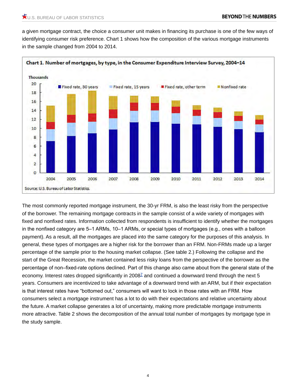a given mortgage contract, the choice a consumer unit makes in financing its purchase is one of the few ways of identifying consumer risk preference. Chart 1 shows how the composition of the various mortgage instruments in the sample changed from 2004 to 2014.



<span id="page-3-0"></span>The most commonly reported mortgage instrument, the 30-yr FRM, is also the least risky from the perspective of the borrower. The remaining mortgage contracts in the sample consist of a wide variety of mortgages with fixed and nonfixed rates. Information collected from respondents is insufficient to identify whether the mortgages in the nonfixed category are 5–1 ARMs, 10–1 ARMs, or special types of mortgages (e.g., ones with a balloon payment). As a result, all the mortgages are placed into the same category for the purposes of this analysis. In general, these types of mortgages are a higher risk for the borrower than an FRM. Non-FRMs made up a larger percentage of the sample prior to the housing market collapse. (See table 2.) Following the collapse and the start of the Great Recession, the market contained less risky loans from the perspective of the borrower as the percentage of non–fixed-rate options declined. Part of this change also came about from the general state of the economy. Interest rates dropped significantly in 2008<sup>[7](#page-7-0)</sup> and continued a downward trend through the next 5 years. Consumers are incentivized to take advantage of a downward trend with an ARM, but if their expectation is that interest rates have "bottomed out," consumers will want to lock in those rates with an FRM. How consumers select a mortgage instrument has a lot to do with their expectations and relative uncertainty about the future. A market collapse generates a lot of uncertainty, making more predictable mortgage instruments more attractive. Table 2 shows the decomposition of the annual total number of mortgages by mortgage type in the study sample.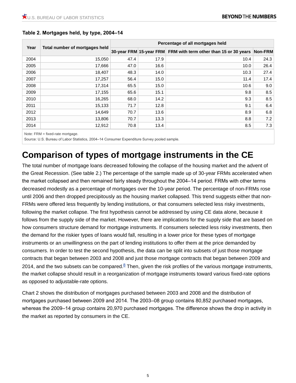|                                        |      | Percentage of all mortgages held |                                                                         |      |  |
|----------------------------------------|------|----------------------------------|-------------------------------------------------------------------------|------|--|
| Year<br>Total number of mortgages held |      |                                  | 30-year FRM 15-year FRM FRM with term other than 15 or 30 years Non-FRM |      |  |
| 15,050                                 | 47.4 | 17.9                             | 10.4                                                                    | 24.3 |  |
| 17,666                                 | 47.0 | 16.6                             | 10.0                                                                    | 26.4 |  |
| 18,407                                 | 48.3 | 14.0                             | 10.3                                                                    | 27.4 |  |
| 17,257                                 | 56.4 | 15.0                             | 11.4                                                                    | 17.4 |  |
| 17,314                                 | 65.5 | 15.0                             |                                                                         | 9.0  |  |
| 17,155                                 | 65.6 | 15.1                             | 9.8                                                                     | 8.5  |  |
| 16,265                                 | 68.0 | 14.2                             | 9.3                                                                     | 8.5  |  |
| 15,133                                 | 71.7 | 12.8                             | 9.1                                                                     | 6.4  |  |
| 14,649                                 | 70.7 | 13.6                             | 8.9                                                                     | 6.8  |  |
| 13,806                                 | 70.7 | 13.3                             | 8.8                                                                     | 7.2  |  |
| 12,912                                 | 70.8 | 13.4                             | 8.5                                                                     | 7.3  |  |
|                                        |      |                                  |                                                                         | 10.6 |  |

#### **Table 2. Mortgages held, by type, 2004–14**

Source: U.S. Bureau of Labor Statistics, 2004–14 Consumer Expenditure Survey pooled sample.

# **Comparison of types of mortgage instruments in the CE**

The total number of mortgage loans decreased following the collapse of the housing market and the advent of the Great Recession. (See table 2.) The percentage of the sample made up of 30-year FRMs accelerated when the market collapsed and then remained fairly steady throughout the 2004–14 period. FRMs with other terms decreased modestly as a percentage of mortgages over the 10-year period. The percentage of non-FRMs rose until 2006 and then dropped precipitously as the housing market collapsed. This trend suggests either that non-FRMs were offered less frequently by lending institutions, or that consumers selected less risky investments, following the market collapse. The first hypothesis cannot be addressed by using CE data alone, because it follows from the supply side of the market. However, there are implications for the supply side that are based on how consumers structure demand for mortgage instruments. If consumers selected less risky investments, then the demand for the riskier types of loans would fall, resulting in a lower price for these types of mortgage instruments or an unwillingness on the part of lending institutions to offer them at the price demanded by consumers. In order to test the second hypothesis, the data can be split into subsets of just those mortgage contracts that began between 2003 and 2008 and just those mortgage contracts that began between 2009 and 2014, and the two subsets can be compared.<sup>[8](#page-7-1)</sup> Then, given the risk profiles of the various mortgage instruments, the market collapse should result in a reorganization of mortgage instruments toward various fixed-rate options as opposed to adjustable-rate options.

<span id="page-4-0"></span>Chart 2 shows the distribution of mortgages purchased between 2003 and 2008 and the distribution of mortgages purchased between 2009 and 2014. The 2003–08 group contains 80,852 purchased mortgages, whereas the 2009–14 group contains 20,970 purchased mortgages. The difference shows the drop in activity in the market as reported by consumers in the CE.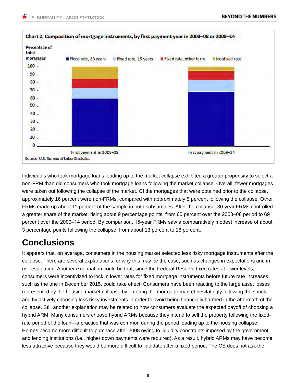

Individuals who took mortgage loans leading up to the market collapse exhibited a greater propensity to select a non-FRM than did consumers who took mortgage loans following the market collapse. Overall, fewer mortgages were taken out following the collapse of the market. Of the mortgages that were obtained prior to the collapse, approximately 16 percent were non-FRMs, compared with approximately 5 percent following the collapse. Other FRMs made up about 11 percent of the sample in both subsamples. After the collapse, 30-year FRMs controlled a greater share of the market, rising about 9 percentage points, from 60 percent over the 2003–08 period to 69 percent over the 2009–14 period. By comparison, 15-year FRMs saw a comparatively modest increase of about 3 percentage points following the collapse, from about 13 percent to 16 percent.

# **Conclusions**

It appears that, on average, consumers in the housing market selected less risky mortgage instruments after the collapse. There are several explanations for why this may be the case, such as changes in expectations and in risk evaluation. Another explanation could be that, since the Federal Reserve fixed rates at lower levels, consumers were incentivized to lock in lower rates for fixed mortgage instruments before future rate increases, such as the one in December 2015, could take effect. Consumers have been reacting to the large asset losses represented by the housing market collapse by entering the mortgage market hesitatingly following the shock and by actively choosing less risky investments in order to avoid being financially harmed in the aftermath of the collapse. Still another explanation may be related to how consumers evaluate the expected payoff of choosing a hybrid ARM. Many consumers choose hybrid ARMs because they intend to sell the property following the fixedrate period of the loan—a practice that was common during the period leading up to the housing collapse. Homes became more difficult to purchase after 2008 owing to liquidity constraints imposed by the government and lending institutions (i.e., higher down payments were required). As a result, hybrid ARMs may have become less attractive because they would be more difficult to liquidate after a fixed period. The CE does not ask the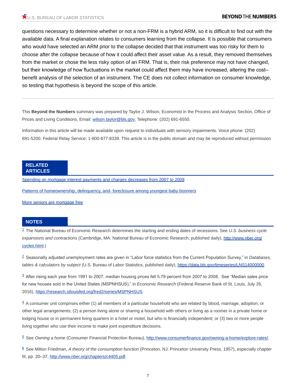questions necessary to determine whether or not a non-FRM is a hybrid ARM, so it is difficult to find out with the available data. A final explanation relates to consumers learning from the collapse. It is possible that consumers who would have selected an ARM prior to the collapse decided that that instrument was too risky for them to choose after the collapse because of how it could affect their asset value. As a result, they removed themselves from the market or chose the less risky option of an FRM. That is, their risk preference may not have changed, but their knowledge of how fluctuations in the market could affect them may have increased, altering the cost– benefit analysis of the selection of an instrument. The CE does not collect information on consumer knowledge, so testing that hypothesis is beyond the scope of this article.

This **Beyond the Numbers** summary was prepared by Taylor J. Wilson, Economist in the Process and Analysis Section, Office of Prices and Living Conditions, Email: [wilson.taylor@bls.gov,](mailto:wilson.taylor@bls.gov) Telephone: (202) 691-6550.

Information in this article will be made available upon request to individuals with sensory impairments. Voice phone: (202) 691-5200. Federal Relay Service: 1-800-877-8339. This article is in the public domain and may be reproduced without permission

#### **RELATED ARTICLES**

[Spending on mortgage interest payments and charges decreases from 2007 to 2009](https://www.bls.gov/opub/ted/2010/ted_20101014.htm)

[Patterns of homeownership, delinquency, and- foreclosure among youngest baby boomers](https://www.bls.gov/opub/btn/volume-2/patterns-of-homeownership.htm)

[More seniors are mortgage free](https://www.bls.gov/opub/ted/2000/jun/wk4/art02.htm)

#### **NOTES**

<span id="page-6-0"></span>[1](#page-0-0) The National Bureau of Economic Research determines the starting and ending dates of recessions. See *U.S. business cycle expansions and contractions* (Cambridge, MA: National Bureau of Economic Research, published daily), [http://www.nber.org/](http://www.nber.org/cycles.html) [cycles.html](http://www.nber.org/cycles.html).)

<span id="page-6-1"></span>[2](#page-0-1) Seasonally adjusted unemployment rates are given in "Labor force statistics from the Current Population Survey," in *Databases, tables & calculators by subject (*U.S. Bureau of Labor Statistics, published daily), [https://data.bls.gov/timeseries/LNS14000000.](https://data.bls.gov/timeseries/LNS14000000)

<span id="page-6-2"></span>[3](#page-0-2) After rising each year from 1991 to 2007, median housing prices fell 5.79 percent from 2007 to 2008. See "Median sales price for new houses sold in the United States (MSPNHSUS)," in *Economic Research* (Federal Reserve Bank of St. Louis, July 26, 2016), [https://research.stlouisfed.org/fred2/series/MSPNHSUS.](https://research.stlouisfed.org/fred2/series/MSPNHSUS)

<span id="page-6-3"></span> $4$  A consumer unit comprises either (1) all members of a particular household who are related by blood, marriage, adoption, or other legal arrangements; (2) a person living alone or sharing a household with others or living as a roomer in a private home or lodging house or in permanent living quarters in a hotel or motel, but who is financially independent; or (3) two or more people living together who use their income to make joint expenditure decisions.

<span id="page-6-4"></span>[5](#page-1-1) See *Owning a home* (Consumer Financial Protection Bureau), [http://www.consumerfinance.gov/owning-a-home/explore-rates/.](http://www.consumerfinance.gov/owning-a-home/explore-rates/)

<span id="page-6-5"></span>[6](#page-1-2) See Milton Friedman, *A theory of the consumption function* (Princeton, NJ: Princeton University Press, 1957), especially chapter III, pp. 20-37, <http://www.nber.org/chapters/c4405.pdf>.